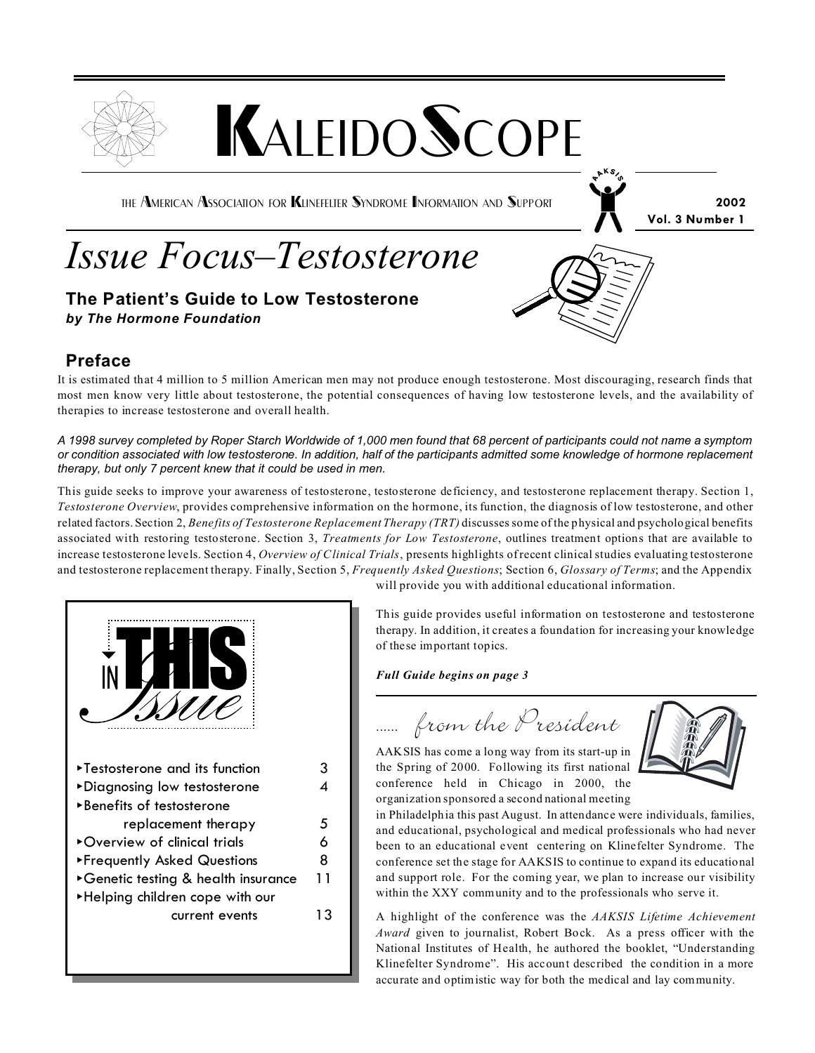

## **Preface**

It is estimated that 4 million to 5 million American men may not produce enough testosterone. Most discouraging, research finds that most men know very little about testosterone, the potential consequences of having low testosterone levels, and the availability of therapies to increase testosterone and overall health.

*A 1998 survey completed by Roper Starch Worldwide of 1,000 men found that 68 percent of participants could not name a symptom or condition associated with low testosterone. In addition, half of the participants admitted some knowledge of hormone replacement therapy, but only 7 percent knew that it could be used in men.*

This guide seeks to improve your awareness of testosterone, testosterone deficiency, and testosterone replacement therapy. Section 1, *Testosterone Overview*, provides comprehensive information on the hormone, its function, the diagnosis of low testosterone, and other related factors. Section 2, *Benefits of Testosterone Replacement Therapy (TRT)* discusses some of the physical and psychological benefits associated with restoring testosterone. Section 3, *Treatments for Low Testosterone*, outlines treatment options that are available to increase testosterone levels. Section 4, *Overview of Clinical Trials*, presents highlights of recent clinical studies evaluating testosterone and testosterone replacement therapy. Finally, Section 5, *Frequently Asked Questions*; Section 6, *Glossary of Terms*; and the Appendix



will provide you with additional educational information.

This guide provides useful information on testosterone and testosterone therapy. In addition, it creates a foundation for increasing your knowledge of these important topics.

*Full Guide begins on page 3*

...... from the President

AAKSIS has come a long way from its start-up in the Spring of 2000. Following its first national conference held in Chicago in 2000, the organization sponsored a second national meeting



in Philadelphia this past August. In attendance were individuals, families, and educational, psychological and medical professionals who had never been to an educational event centering on Klinefelter Syndrome. The conference set the stage for AAKSIS to continue to expand its educational and support role. For the coming year, we plan to increase our visibility within the XXY community and to the professionals who serve it.

A highlight of the conference was the *AAKSIS Lifetime Achievement Award* given to journalist, Robert Bock. As a press officer with the National Institutes of Health, he authored the booklet, "Understanding Klinefelter Syndrome". His account described the condition in a more accurate and optimistic way for both the medical and lay community.